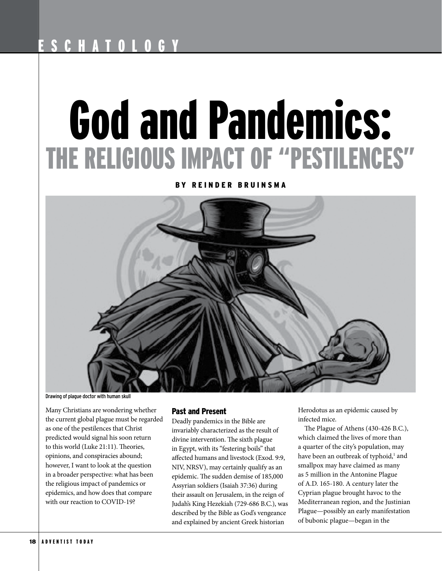# God and Pandemics: THE RELIGIOUS IMPACT OF "PESTILENCES"

BY REINDER BRUINSMA



Drawing of plague doctor with human skull

Many Christians are wondering whether the current global plague must be regarded as one of the pestilences that Christ predicted would signal his soon return to this world (Luke 21:11). Theories, opinions, and conspiracies abound; however, I want to look at the question in a broader perspective: what has been the religious impact of pandemics or epidemics, and how does that compare with our reaction to COVID-19?

## Past and Present

Deadly pandemics in the Bible are invariably characterized as the result of divine intervention. The sixth plague in Egypt, with its "festering boils" that afected humans and livestock (Exod. 9:9, NIV, NRSV), may certainly qualify as an epidemic. The sudden demise of 185,000 Assyrian soldiers (Isaiah 37:36) during their assault on Jerusalem, in the reign of Judah's King Hezekiah (729-686 B.C.), was described by the Bible as God's vengeance and explained by ancient Greek historian

Herodotus as an epidemic caused by infected mice.

The Plague of Athens (430-426 B.C.), which claimed the lives of more than a quarter of the city's population, may have been an outbreak of typhoid,<sup>1</sup> and smallpox may have claimed as many as 5 million in the Antonine Plague of A.D. 165-180. A century later the Cyprian plague brought havoc to the Mediterranean region, and the Justinian Plague—possibly an early manifestation of bubonic plague—began in the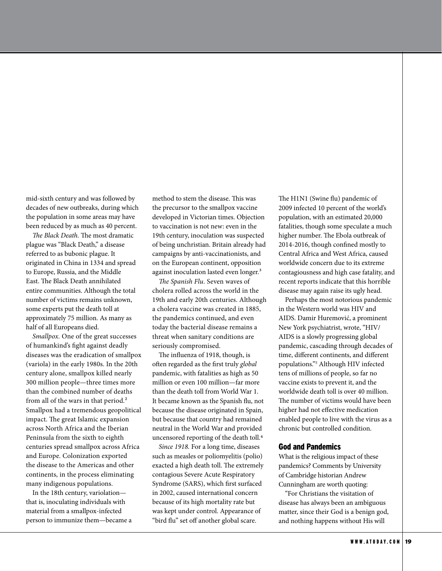mid-sixth century and was followed by decades of new outbreaks, during which the population in some areas may have been reduced by as much as 40 percent.

The Black Death. The most dramatic plague was "Black Death," a disease referred to as bubonic plague. It originated in China in 1334 and spread to Europe, Russia, and the Middle East. The Black Death annihilated entire communities. Although the total number of victims remains unknown, some experts put the death toll at approximately 75 million. As many as half of all Europeans died.

*Smallpox.* One of the great successes of humankind's fght against deadly diseases was the eradication of smallpox (variola) in the early 1980s. In the 20th century alone, smallpox killed nearly 300 million people—three times more than the combined number of deaths from all of the wars in that period.<sup>2</sup> Smallpox had a tremendous geopolitical impact. The great Islamic expansion across North Africa and the Iberian Peninsula from the sixth to eighth centuries spread smallpox across Africa and Europe. Colonization exported the disease to the Americas and other continents, in the process eliminating many indigenous populations.

In the 18th century, variolation that is, inoculating individuals with material from a smallpox-infected person to immunize them—became a method to stem the disease. This was the precursor to the smallpox vaccine developed in Victorian times. Objection to vaccination is not new: even in the 19th century, inoculation was suspected of being unchristian. Britain already had campaigns by anti-vaccinationists, and on the European continent, opposition against inoculation lasted even longer.<sup>3</sup>

The Spanish Flu. Seven waves of cholera rolled across the world in the 19th and early 20th centuries. Although a cholera vaccine was created in 1885, the pandemics continued, and even today the bacterial disease remains a threat when sanitary conditions are seriously compromised.

The influenza of 1918, though, is ofen regarded as the frst truly *global* pandemic, with fatalities as high as 50 million or even 100 million—far more than the death toll from World War 1. It became known as the Spanish fu, not because the disease originated in Spain, but because that country had remained neutral in the World War and provided uncensored reporting of the death toll.4

*Since 1918.* For a long time, diseases such as measles or poliomyelitis (polio) exacted a high death toll. The extremely contagious Severe Acute Respiratory Syndrome (SARS), which frst surfaced in 2002, caused international concern because of its high mortality rate but was kept under control. Appearance of "bird flu" set off another global scare.

The H1N1 (Swine flu) pandemic of 2009 infected 10 percent of the world's population, with an estimated 20,000 fatalities, though some speculate a much higher number. The Ebola outbreak of 2014-2016, though confned mostly to Central Africa and West Africa, caused worldwide concern due to its extreme contagiousness and high case fatality, and recent reports indicate that this horrible disease may again raise its ugly head.

Perhaps the most notorious pandemic in the Western world was HIV and AIDS. Damir Huremović, a prominent New York psychiatrist, wrote, "HIV/ AIDS is a slowly progressing global pandemic, cascading through decades of time, diferent continents, and diferent populations."5 Although HIV infected tens of millions of people, so far no vaccine exists to prevent it, and the worldwide death toll is over 40 million. The number of victims would have been higher had not efective medication enabled people to live with the virus as a chronic but controlled condition.

### God and Pandemics

What is the religious impact of these pandemics? Comments by University of Cambridge historian Andrew Cunningham are worth quoting:

"For Christians the visitation of disease has always been an ambiguous matter, since their God is a benign god, and nothing happens without His will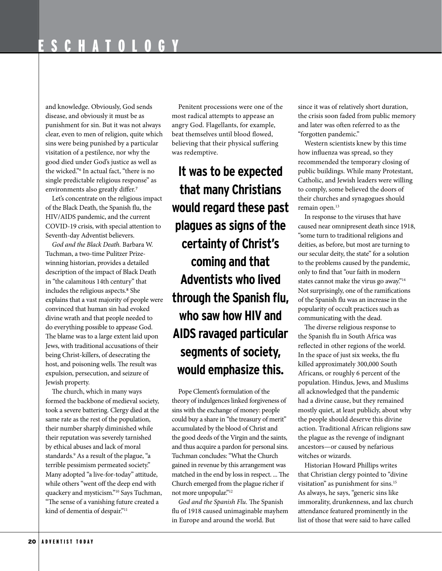and knowledge. Obviously, God sends disease, and obviously it must be as punishment for sin. But it was not always clear, even to men of religion, quite which sins were being punished by a particular visitation of a pestilence, nor why the good died under God's justice as well as the wicked."6 In actual fact, "there is no single predictable religious response" as environments also greatly difer.7

Let's concentrate on the religious impact of the Black Death, the Spanish fu, the HIV/AIDS pandemic, and the current COVID-19 crisis, with special attention to Seventh-day Adventist believers.

*God and the Black Death.* Barbara W. Tuchman, a two-time Pulitzer Prizewinning historian, provides a detailed description of the impact of Black Death in "the calamitous 14th century" that includes the religious aspects*.*8 She explains that a vast majority of people were convinced that human sin had evoked divine wrath and that people needed to do everything possible to appease God. The blame was to a large extent laid upon Jews, with traditional accusations of their being Christ-killers, of desecrating the host, and poisoning wells. The result was expulsion, persecution, and seizure of Jewish property.

The church, which in many ways formed the backbone of medieval society, took a severe battering. Clergy died at the same rate as the rest of the population, their number sharply diminished while their reputation was severely tarnished by ethical abuses and lack of moral standards.9 As a result of the plague, "a terrible pessimism permeated society." Many adopted "a live-for-today" attitude, while others "went off the deep end with quackery and mysticism."10 Says Tuchman, "The sense of a vanishing future created a kind of dementia of despair."11

Penitent processions were one of the most radical attempts to appease an angry God. Flagellants, for example, beat themselves until blood fowed, believing that their physical sufering was redemptive.

**It was to be expected that many Christians would regard these past plagues as signs of the certainty of Christ's coming and that Adventists who lived through the Spanish flu, who saw how HIV and AIDS ravaged particular segments of society, would emphasize this.**

Pope Clement's formulation of the theory of indulgences linked forgiveness of sins with the exchange of money: people could buy a share in "the treasury of merit" accumulated by the blood of Christ and the good deeds of the Virgin and the saints, and thus acquire a pardon for personal sins. Tuchman concludes: "What the Church gained in revenue by this arrangement was matched in the end by loss in respect. ... The Church emerged from the plague richer if not more unpopular."12

God and the Spanish Flu. The Spanish fu of 1918 caused unimaginable mayhem in Europe and around the world. But

since it was of relatively short duration, the crisis soon faded from public memory and later was ofen referred to as the "forgotten pandemic."

Western scientists knew by this time how infuenza was spread, so they recommended the temporary closing of public buildings. While many Protestant, Catholic, and Jewish leaders were willing to comply, some believed the doors of their churches and synagogues should remain open.<sup>13</sup>

In response to the viruses that have caused near omnipresent death since 1918, "some turn to traditional religions and deities, as before, but most are turning to our secular deity, the state" for a solution to the problems caused by the pandemic, only to fnd that "our faith in modern states cannot make the virus go away."14 Not surprisingly, one of the ramifcations of the Spanish fu was an increase in the popularity of occult practices such as communicating with the dead.

The diverse religious response to the Spanish flu in South Africa was refected in other regions of the world. In the space of just six weeks, the fu killed approximately 300,000 South Africans, or roughly 6 percent of the population. Hindus, Jews, and Muslims all acknowledged that the pandemic had a divine cause, but they remained mostly quiet, at least publicly, about why the people should deserve this divine action. Traditional African religions saw the plague as the revenge of indignant ancestors—or caused by nefarious witches or wizards.

Historian Howard Phillips writes that Christian clergy pointed to "divine visitation" as punishment for sins.15 As always, he says, "generic sins like immorality, drunkenness, and lax church attendance featured prominently in the list of those that were said to have called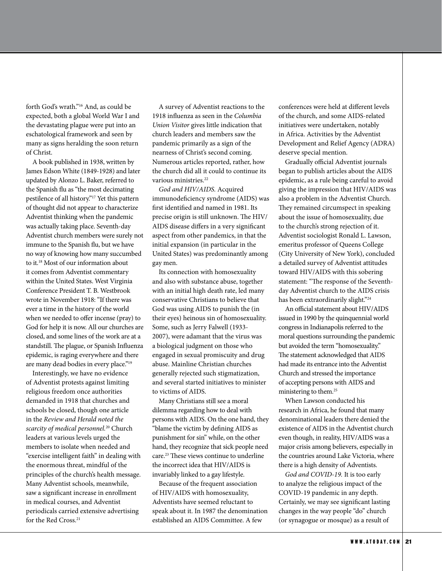forth God's wrath."16 And, as could be expected, both a global World War I and the devastating plague were put into an eschatological framework and seen by many as signs heralding the soon return of Christ.

A book published in 1938, written by James Edson White (1849-1928) and later updated by Alonzo L. Baker, referred to the Spanish fu as "the most decimating pestilence of all history."17 Yet this pattern of thought did not appear to characterize Adventist thinking when the pandemic was actually taking place. Seventh-day Adventist church members were surely not immune to the Spanish fu, but we have no way of knowing how many succumbed to it.18 Most of our information about it comes from Adventist commentary within the United States. West Virginia Conference President T. B. Westbrook wrote in November 1918: "If there was ever a time in the history of the world when we needed to offer incense (pray) to God for help it is now. All our churches are closed, and some lines of the work are at a standstill. The plague, or Spanish Influenza epidemic, is raging everywhere and there are many dead bodies in every place."<sup>19</sup>

Interestingly, we have no evidence of Adventist protests against limiting religious freedom once authorities demanded in 1918 that churches and schools be closed, though one article in the *Review and Herald noted the scarcity of medical personnel.*20 Church leaders at various levels urged the members to isolate when needed and "exercise intelligent faith" in dealing with the enormous threat, mindful of the principles of the church's health message. Many Adventist schools, meanwhile, saw a signifcant increase in enrollment in medical courses, and Adventist periodicals carried extensive advertising for the Red Cross.<sup>21</sup>

A survey of Adventist reactions to the 1918 infuenza as seen in the *Columbia Union Visitor* gives little indication that church leaders and members saw the pandemic primarily as a sign of the nearness of Christ's second coming. Numerous articles reported, rather, how the church did all it could to continue its various ministries.<sup>22</sup>

*God and HIV/AIDS.* Acquired immunodefciency syndrome (AIDS) was frst identifed and named in 1981. Its precise origin is still unknown. The HIV/ AIDS disease difers in a very signifcant aspect from other pandemics, in that the initial expansion (in particular in the United States) was predominantly among gay men.

Its connection with homosexuality and also with substance abuse, together with an initial high death rate, led many conservative Christians to believe that God was using AIDS to punish the (in their eyes) heinous sin of homosexuality. Some, such as Jerry Falwell (1933- 2007), were adamant that the virus was a biological judgment on those who engaged in sexual promiscuity and drug abuse. Mainline Christian churches generally rejected such stigmatization, and several started initiatives to minister to victims of AIDS.

Many Christians still see a moral dilemma regarding how to deal with persons with AIDS. On the one hand, they "blame the victim by defning AIDS as punishment for sin" while, on the other hand, they recognize that sick people need care.<sup>23</sup> These views continue to underline the incorrect idea that HIV/AIDS is invariably linked to a gay lifestyle.

Because of the frequent association of HIV/AIDS with homosexuality, Adventists have seemed reluctant to speak about it. In 1987 the denomination established an AIDS Committee. A few

conferences were held at diferent levels of the church, and some AIDS-related initiatives were undertaken, notably in Africa. Activities by the Adventist Development and Relief Agency (ADRA) deserve special mention.

Gradually official Adventist journals began to publish articles about the AIDS epidemic, as a rule being careful to avoid giving the impression that HIV/AIDS was also a problem in the Adventist Church. They remained circumspect in speaking about the issue of homosexuality, due to the church's strong rejection of it. Adventist sociologist Ronald L. Lawson, emeritus professor of Queens College (City University of New York), concluded a detailed survey of Adventist attitudes toward HIV/AIDS with this sobering statement: "The response of the Seventhday Adventist church to the AIDS crisis has been extraordinarily slight."24

An official statement about HIV/AIDS issued in 1990 by the quinquennial world congress in Indianapolis referred to the moral questions surrounding the pandemic but avoided the term "homosexuality." The statement acknowledged that AIDS had made its entrance into the Adventist Church and stressed the importance of accepting persons with AIDS and ministering to them.25

When Lawson conducted his research in Africa, he found that many denominational leaders there denied the existence of AIDS in the Adventist church even though, in reality, HIV/AIDS was a major crisis among believers, especially in the countries around Lake Victoria, where there is a high density of Adventists.

*God and COVID-19.* It is too early to analyze the religious impact of the COVID-19 pandemic in any depth. Certainly, we may see signifcant lasting changes in the way people "do" church (or synagogue or mosque) as a result of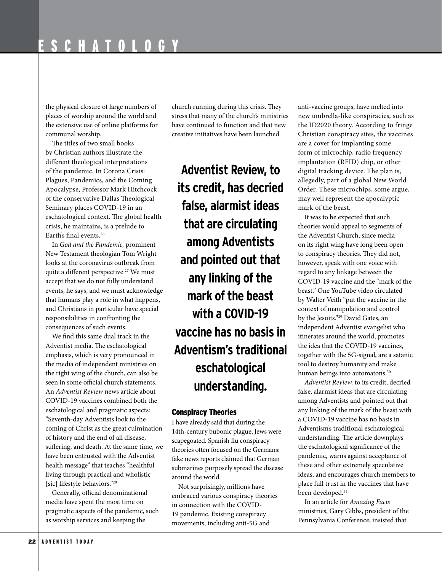the physical closure of large numbers of places of worship around the world and the extensive use of online platforms for communal worship.

The titles of two small books by Christian authors illustrate the diferent theological interpretations of the pandemic. In Corona Crisis: Plagues, Pandemics, and the Coming Apocalypse, Professor Mark Hitchcock of the conservative Dallas Theological Seminary places COVID-19 in an eschatological context. The global health crisis, he maintains, is a prelude to Earth's fnal events.26

In *God and the Pandemic,* prominent New Testament theologian Tom Wright looks at the coronavirus outbreak from quite a different perspective.<sup>27</sup> We must accept that we do not fully understand events, he says, and we must acknowledge that humans play a role in what happens, and Christians in particular have special responsibilities in confronting the consequences of such events.

We fnd this same dual track in the Adventist media. The eschatological emphasis, which is very pronounced in the media of independent ministries on the right wing of the church, can also be seen in some official church statements. An *Adventist Review* news article about COVID-19 vaccines combined both the eschatological and pragmatic aspects: "Seventh-day Adventists look to the coming of Christ as the great culmination of history and the end of all disease, sufering, and death. At the same time, we have been entrusted with the Adventist health message" that teaches "healthful living through practical and wholistic [sic] lifestyle behaviors."<sup>28</sup>

Generally, official denominational media have spent the most time on pragmatic aspects of the pandemic, such as worship services and keeping the

church running during this crisis. They stress that many of the church's ministries have continued to function and that new creative initiatives have been launched.

**Adventist Review, to its credit, has decried false, alarmist ideas that are circulating among Adventists and pointed out that any linking of the mark of the beast with a COVID-19 vaccine has no basis in Adventism's traditional eschatological understanding.**

# Conspiracy Theories

I have already said that during the 14th-century bubonic plague, Jews were scapegoated. Spanish fu conspiracy theories often focused on the Germans: fake news reports claimed that German submarines purposely spread the disease around the world.

Not surprisingly, millions have embraced various conspiracy theories in connection with the COVID-19 pandemic. Existing conspiracy movements, including anti-5G and

anti-vaccine groups, have melted into new umbrella-like conspiracies, such as the ID2020 theory. According to fringe Christian conspiracy sites, the vaccines are a cover for implanting some form of microchip, radio frequency implantation (RFID) chip, or other digital tracking device. The plan is, allegedly, part of a global New World Order. These microchips, some argue, may well represent the apocalyptic mark of the beast.

It was to be expected that such theories would appeal to segments of the Adventist Church, since media on its right wing have long been open to conspiracy theories. They did not, however, speak with one voice with regard to any linkage between the COVID-19 vaccine and the "mark of the beast." One YouTube video circulated by Walter Veith "put the vaccine in the context of manipulation and control by the Jesuits."29 David Gates, an independent Adventist evangelist who itinerates around the world, promotes the idea that the COVID-19 vaccines, together with the 5G-signal, are a satanic tool to destroy humanity and make human beings into automatons.<sup>30</sup>

*Adventist Review,* to its credit, decried false, alarmist ideas that are circulating among Adventists and pointed out that any linking of the mark of the beast with a COVID-19 vaccine has no basis in Adventism's traditional eschatological understanding. The article downplays the eschatological signifcance of the pandemic, warns against acceptance of these and other extremely speculative ideas, and encourages church members to place full trust in the vaccines that have been developed.<sup>31</sup>

In an article for *Amazing Facts*  ministries, Gary Gibbs, president of the Pennsylvania Conference, insisted that